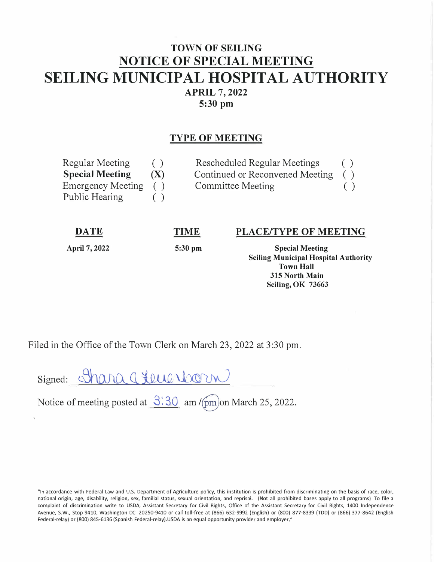## **TOWN OF SEILING NOTICE OF SPECIAL MEETING SEILING MUNICIPAL HOSPITAL AUTHORITY APRIL 7, 2022 5:30 pm**

## **TYPE OF MEETING**

| Regular Meeting          | ( ) | Rescheduled Regular Meetings    | ( ) |
|--------------------------|-----|---------------------------------|-----|
| <b>Special Meeting</b>   | (X) | Continued or Reconvened Meeting |     |
| <b>Emergency Meeting</b> |     | Committee Meeting               |     |
| Public Hearing           | (   |                                 |     |

**DATE** 

**TIME** 

**April 7, 2022** 

**5:30 pm** 

## **PLACE/TYPE OF MEETING**

**Special Meeting Seiling Municipal Hospital Authority Town Hall 315 North Main Seiling, OK 73663** 

Filed in the Office of the Town Clerk on March 23, 2022 at 3 :30 pm.

Signed: <u>Shara group Worm</u>

Notice of meeting posted at  $3:30$  am / $\text{(pm)}$ on March 25, 2022.

"In accordance with Federal Law and U.S. Department of Agriculture policy, this institution is prohibited from discriminating on the basis of race, color, national origin, age, disability, religion, sex, familial status, sexual orientation, and reprisal. (Not all prohibited bases apply to all programs) To file a complaint of discrimination write to USDA, Assistant Secretary for Civil Rights, Office of the Assistant Secretary for Civil Rights, 1400 Independence Avenue, S.W., Stop 9410, Washington DC 20250-9410 or call toll-free at (866) 632-9992 (English) or (800) 877-8339 (TDD) or {866) 377-8642 (English Federal-relay) or {800) 845-6136 (Spanish Federal-relay).USDA is an equal opportunity provider and employer."